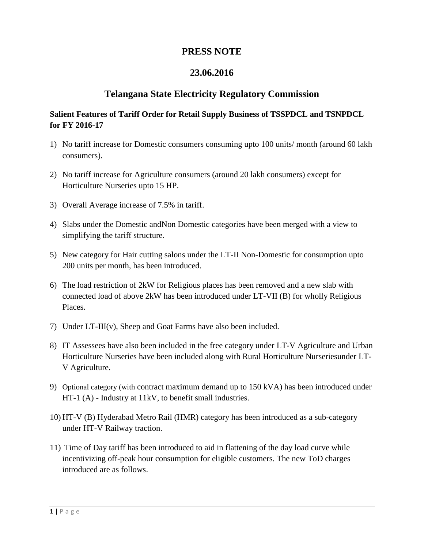# **PRESS NOTE**

# **23.06.2016**

# **Telangana State Electricity Regulatory Commission**

## **Salient Features of Tariff Order for Retail Supply Business of TSSPDCL and TSNPDCL for FY 2016-17**

- 1) No tariff increase for Domestic consumers consuming upto 100 units/ month (around 60 lakh consumers).
- 2) No tariff increase for Agriculture consumers (around 20 lakh consumers) except for Horticulture Nurseries upto 15 HP.
- 3) Overall Average increase of 7.5% in tariff.
- 4) Slabs under the Domestic andNon Domestic categories have been merged with a view to simplifying the tariff structure.
- 5) New category for Hair cutting salons under the LT-II Non-Domestic for consumption upto 200 units per month, has been introduced.
- 6) The load restriction of 2kW for Religious places has been removed and a new slab with connected load of above 2kW has been introduced under LT-VII (B) for wholly Religious Places.
- 7) Under LT-III(v), Sheep and Goat Farms have also been included.
- 8) IT Assessees have also been included in the free category under LT-V Agriculture and Urban Horticulture Nurseries have been included along with Rural Horticulture Nurseriesunder LT-V Agriculture.
- 9) Optional category (with contract maximum demand up to 150 kVA) has been introduced under HT-1 (A) - Industry at 11kV, to benefit small industries.
- 10) HT-V (B) Hyderabad Metro Rail (HMR) category has been introduced as a sub-category under HT-V Railway traction.
- 11) Time of Day tariff has been introduced to aid in flattening of the day load curve while incentivizing off-peak hour consumption for eligible customers. The new ToD charges introduced are as follows.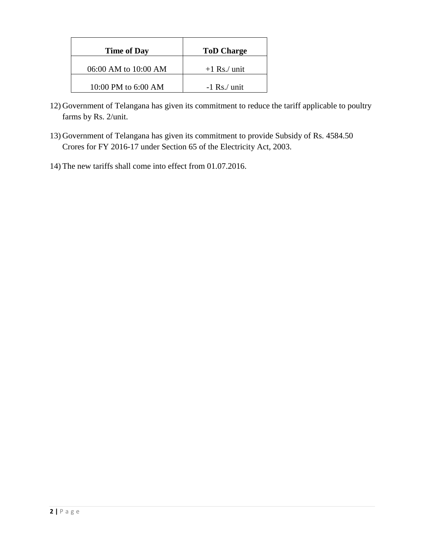| <b>Time of Day</b>   | <b>ToD Charge</b> |
|----------------------|-------------------|
| 06:00 AM to 10:00 AM | $+1$ Rs./ unit    |
| 10:00 PM to 6:00 AM  | $-1$ Rs./ unit    |

- 12) Government of Telangana has given its commitment to reduce the tariff applicable to poultry farms by Rs. 2/unit.
- 13) Government of Telangana has given its commitment to provide Subsidy of Rs. 4584.50 Crores for FY 2016-17 under Section 65 of the Electricity Act, 2003.
- 14) The new tariffs shall come into effect from 01.07.2016.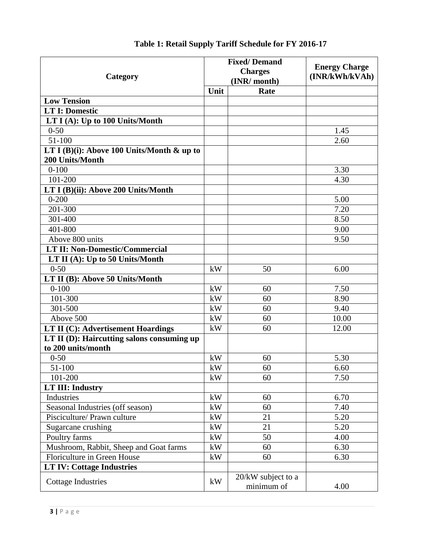| Category                                                         |      | <b>Fixed/Demand</b>              | <b>Energy Charge</b><br>(INR/kWh/kVAh) |
|------------------------------------------------------------------|------|----------------------------------|----------------------------------------|
|                                                                  |      | <b>Charges</b>                   |                                        |
|                                                                  |      | (INR/ month)                     |                                        |
|                                                                  | Unit | Rate                             |                                        |
| <b>Low Tension</b>                                               |      |                                  |                                        |
| <b>LT I: Domestic</b>                                            |      |                                  |                                        |
| LT $I(A)$ : Up to 100 Units/Month                                |      |                                  |                                        |
| $0 - 50$                                                         |      |                                  | 1.45                                   |
| 51-100                                                           |      |                                  | 2.60                                   |
| LT I (B)(i): Above 100 Units/Month $\&$ up to<br>200 Units/Month |      |                                  |                                        |
| $0 - 100$                                                        |      |                                  | 3.30                                   |
| 101-200                                                          |      |                                  | 4.30                                   |
| LT I (B)(ii): Above 200 Units/Month                              |      |                                  |                                        |
| $0 - 200$                                                        |      |                                  | 5.00                                   |
| 201-300                                                          |      |                                  | 7.20                                   |
| 301-400                                                          |      |                                  | 8.50                                   |
| 401-800                                                          |      |                                  | 9.00                                   |
| Above 800 units                                                  |      |                                  | 9.50                                   |
| <b>LT II: Non-Domestic/Commercial</b>                            |      |                                  |                                        |
| LT II (A): Up to 50 Units/Month                                  |      |                                  |                                        |
| $0 - 50$                                                         | kW   | 50                               | 6.00                                   |
| LT II (B): Above 50 Units/Month                                  |      |                                  |                                        |
| $0 - 100$                                                        | kW   | 60                               | 7.50                                   |
| 101-300                                                          | kW   | 60                               | 8.90                                   |
| 301-500                                                          | kW   | 60                               | 9.40                                   |
| Above 500                                                        | kW   | 60                               | 10.00                                  |
| LT II (C): Advertisement Hoardings                               | kW   | 60                               | 12.00                                  |
| LT II (D): Haircutting salons consuming up                       |      |                                  |                                        |
| to 200 units/month                                               |      |                                  |                                        |
| $0 - 50$                                                         | kW   | 60                               | 5.30                                   |
| 51-100                                                           | kW   | 60                               | 6.60                                   |
| 101-200                                                          | kW   | 60                               | 7.50                                   |
| <b>LT III: Industry</b>                                          |      |                                  |                                        |
| Industries                                                       | kW   | 60                               | 6.70                                   |
| Seasonal Industries (off season)                                 | kW   | 60                               | 7.40                                   |
| Pisciculture/ Prawn culture                                      | kW   | 21                               | 5.20                                   |
| Sugarcane crushing                                               | kW   | 21                               | 5.20                                   |
| Poultry farms                                                    | kW   | 50                               | 4.00                                   |
| Mushroom, Rabbit, Sheep and Goat farms                           | kW   | 60                               | 6.30                                   |
| Floriculture in Green House                                      | kW   | 60                               | 6.30                                   |
| <b>LT IV: Cottage Industries</b>                                 |      |                                  |                                        |
| <b>Cottage Industries</b>                                        | kW   | 20/kW subject to a<br>minimum of | 4.00                                   |

# **Table 1: Retail Supply Tariff Schedule for FY 2016-17**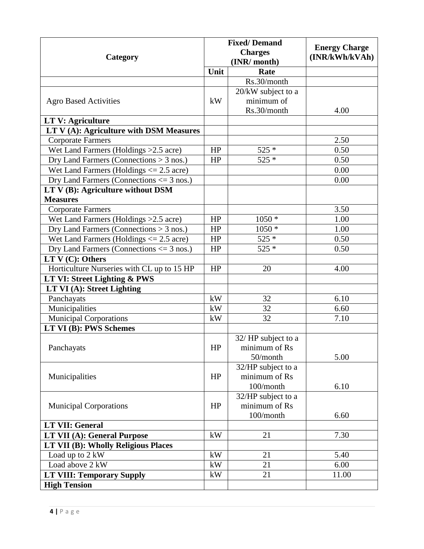| Category                                     |          | <b>Fixed/Demand</b><br><b>Charges</b> | <b>Energy Charge</b><br>(INR/kWh/kVAh) |
|----------------------------------------------|----------|---------------------------------------|----------------------------------------|
|                                              |          | (INR/ month)                          |                                        |
|                                              | Unit     | Rate                                  |                                        |
|                                              |          | Rs.30/month                           |                                        |
|                                              |          | 20/kW subject to a                    |                                        |
| <b>Agro Based Activities</b>                 | kW       | minimum of                            |                                        |
|                                              |          | Rs.30/month                           | 4.00                                   |
| <b>LT V: Agriculture</b>                     |          |                                       |                                        |
| LT V (A): Agriculture with DSM Measures      |          |                                       |                                        |
| <b>Corporate Farmers</b>                     |          |                                       | 2.50                                   |
| Wet Land Farmers (Holdings > 2.5 acre)       | HP       | $525*$                                | 0.50                                   |
| Dry Land Farmers (Connections $> 3$ nos.)    | HP       | $525 *$                               | 0.50                                   |
| Wet Land Farmers (Holdings $\leq$ 2.5 acre)  |          |                                       | 0.00                                   |
| Dry Land Farmers (Connections $\leq$ 3 nos.) |          |                                       | 0.00                                   |
| LT V (B): Agriculture without DSM            |          |                                       |                                        |
| <b>Measures</b>                              |          |                                       |                                        |
| <b>Corporate Farmers</b>                     |          |                                       | 3.50                                   |
| Wet Land Farmers (Holdings > 2.5 acre)       | HP       | $1050 *$                              | 1.00                                   |
| Dry Land Farmers (Connections $>$ 3 nos.)    | HP       | $1050*$                               | 1.00                                   |
| Wet Land Farmers (Holdings $\leq$ 2.5 acre)  | HP       | $525 *$                               | 0.50                                   |
| Dry Land Farmers (Connections $\leq$ 3 nos.) | HP       | $525*$                                | 0.50                                   |
| $LT V(C):$ Others                            |          |                                       |                                        |
| Horticulture Nurseries with CL up to 15 HP   | HP       | 20                                    | 4.00                                   |
| LT VI: Street Lighting & PWS                 |          |                                       |                                        |
| LT VI (A): Street Lighting                   |          |                                       |                                        |
| Panchayats                                   | kW       | 32                                    | 6.10                                   |
| Municipalities                               | kW       | 32                                    | 6.60                                   |
| <b>Municipal Corporations</b>                | kW       | 32                                    | 7.10                                   |
| LT VI (B): PWS Schemes                       |          |                                       |                                        |
|                                              |          | 32/HP subject to a                    |                                        |
| Panchayats                                   | $\rm HP$ | minimum of Rs                         |                                        |
|                                              |          | 50/month                              | 5.00                                   |
|                                              |          | 32/HP subject to a                    |                                        |
| Municipalities                               | HP       | minimum of Rs                         |                                        |
|                                              |          | 100/month                             | 6.10                                   |
|                                              |          | 32/HP subject to a                    |                                        |
| <b>Municipal Corporations</b>                | HP       | minimum of Rs                         |                                        |
|                                              |          | 100/month                             | 6.60                                   |
| <b>LT VII: General</b>                       |          |                                       |                                        |
| <b>LT VII (A): General Purpose</b>           | kW       | 21                                    | 7.30                                   |
| LT VII (B): Wholly Religious Places          |          |                                       |                                        |
| Load up to 2 kW                              | kW       | 21                                    | 5.40                                   |
| Load above 2 kW                              | kW       | 21                                    | 6.00                                   |
| <b>LT VIII: Temporary Supply</b>             | kW       | 21                                    | 11.00                                  |
| <b>High Tension</b>                          |          |                                       |                                        |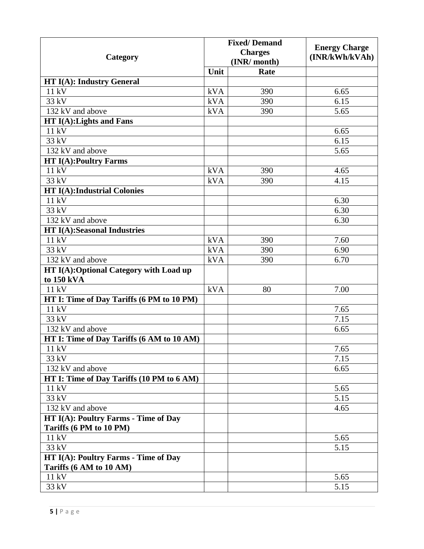|                                           |                                | <b>Fixed/Demand</b> | <b>Energy Charge</b> |
|-------------------------------------------|--------------------------------|---------------------|----------------------|
| Category                                  | <b>Charges</b><br>(INR/ month) |                     | (INR/kWh/kVAh)       |
|                                           | Unit                           | Rate                |                      |
| <b>HT I(A): Industry General</b>          |                                |                     |                      |
| 11 kV                                     | kVA                            | 390                 | 6.65                 |
| 33 kV                                     | kVA                            | 390                 | 6.15                 |
| 132 kV and above                          | kVA                            | 390                 | 5.65                 |
| $HT I(A):$ Lights and Fans                |                                |                     |                      |
| 11 kV                                     |                                |                     | 6.65                 |
| 33 kV                                     |                                |                     | 6.15                 |
| 132 kV and above                          |                                |                     | 5.65                 |
| <b>HT I(A):Poultry Farms</b>              |                                |                     |                      |
| 11 kV                                     | kVA                            | 390                 | 4.65                 |
| 33 kV                                     | kVA                            | 390                 | 4.15                 |
| <b>HT I(A):Industrial Colonies</b>        |                                |                     |                      |
| 11 kV                                     |                                |                     | 6.30                 |
| 33 kV                                     |                                |                     | 6.30                 |
| 132 kV and above                          |                                |                     | 6.30                 |
| <b>HT I(A):Seasonal Industries</b>        |                                |                     |                      |
| 11 kV                                     | kVA                            | 390                 | 7.60                 |
| 33 kV                                     | <b>kVA</b>                     | 390                 | 6.90                 |
| 132 kV and above                          | kVA                            | 390                 | 6.70                 |
| HT I(A): Optional Category with Load up   |                                |                     |                      |
| to 150 kVA                                |                                |                     |                      |
| 11 kV                                     | kVA                            | 80                  | 7.00                 |
| HT I: Time of Day Tariffs (6 PM to 10 PM) |                                |                     |                      |
| 11 kV                                     |                                |                     | 7.65                 |
| 33 kV                                     |                                |                     | 7.15                 |
| 132 kV and above                          |                                |                     | 6.65                 |
| HT I: Time of Day Tariffs (6 AM to 10 AM) |                                |                     |                      |
| 11 kV                                     |                                |                     | 7.65                 |
| 33 kV                                     |                                |                     | 7.15                 |
| 132 kV and above                          |                                |                     | 6.65                 |
| HT I: Time of Day Tariffs (10 PM to 6 AM) |                                |                     |                      |
| 11 kV                                     |                                |                     | 5.65                 |
| 33 kV                                     |                                |                     | 5.15                 |
| 132 kV and above                          |                                |                     | 4.65                 |
| HT I(A): Poultry Farms - Time of Day      |                                |                     |                      |
| Tariffs (6 PM to 10 PM)                   |                                |                     |                      |
| 11 kV                                     |                                |                     | 5.65                 |
| 33 kV                                     |                                |                     | 5.15                 |
| HT I(A): Poultry Farms - Time of Day      |                                |                     |                      |
| Tariffs (6 AM to 10 AM)<br>11 kV          |                                |                     | 5.65                 |
| 33 kV                                     |                                |                     | 5.15                 |
|                                           |                                |                     |                      |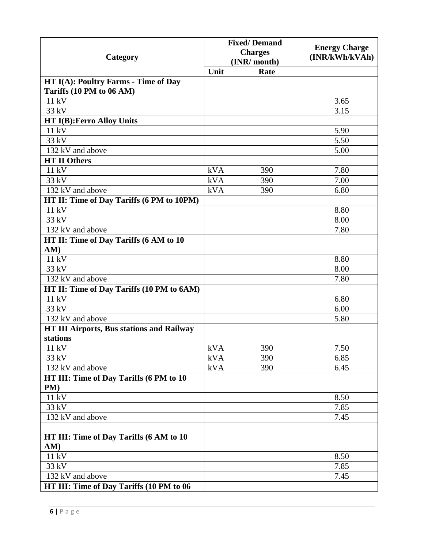| Category                                                         | <b>Fixed/Demand</b><br><b>Charges</b><br>(INR/ month) |      | <b>Energy Charge</b><br>(INR/kWh/kVAh) |
|------------------------------------------------------------------|-------------------------------------------------------|------|----------------------------------------|
|                                                                  | Unit                                                  | Rate |                                        |
| HT I(A): Poultry Farms - Time of Day<br>Tariffs (10 PM to 06 AM) |                                                       |      |                                        |
| 11 kV                                                            |                                                       |      | 3.65                                   |
| 33 kV                                                            |                                                       |      | 3.15                                   |
| <b>HT I(B): Ferro Alloy Units</b>                                |                                                       |      |                                        |
| 11 kV                                                            |                                                       |      | 5.90                                   |
| 33 kV                                                            |                                                       |      | 5.50                                   |
| 132 kV and above                                                 |                                                       |      | 5.00                                   |
| <b>HT II Others</b>                                              |                                                       |      |                                        |
| 11 kV                                                            | kVA                                                   | 390  | 7.80                                   |
| 33 kV                                                            | kVA                                                   | 390  | 7.00                                   |
| 132 kV and above                                                 | kVA                                                   | 390  | 6.80                                   |
| HT II: Time of Day Tariffs (6 PM to 10PM)                        |                                                       |      |                                        |
| 11 kV                                                            |                                                       |      | 8.80                                   |
| 33 kV                                                            |                                                       |      | 8.00                                   |
| 132 kV and above                                                 |                                                       |      | 7.80                                   |
| HT II: Time of Day Tariffs (6 AM to 10                           |                                                       |      |                                        |
| AM)                                                              |                                                       |      |                                        |
| 11 kV                                                            |                                                       |      | 8.80                                   |
| 33 kV                                                            |                                                       |      | 8.00                                   |
| 132 kV and above                                                 |                                                       |      | 7.80                                   |
| HT II: Time of Day Tariffs (10 PM to 6AM)                        |                                                       |      |                                        |
| 11 kV                                                            |                                                       |      | 6.80                                   |
| 33 kV                                                            |                                                       |      | 6.00                                   |
| 132 kV and above                                                 |                                                       |      | 5.80                                   |
| <b>HT III Airports, Bus stations and Railway</b><br>stations     |                                                       |      |                                        |
| 11 kV                                                            | kVA                                                   | 390  | 7.50                                   |
| 33 kV                                                            | kVA                                                   | 390  | 6.85                                   |
| 132 kV and above                                                 | kVA                                                   | 390  | 6.45                                   |
| HT III: Time of Day Tariffs (6 PM to 10<br>PM)                   |                                                       |      |                                        |
| 11 kV                                                            |                                                       |      | 8.50                                   |
| 33 kV                                                            |                                                       |      | 7.85                                   |
| 132 kV and above                                                 |                                                       |      | 7.45                                   |
|                                                                  |                                                       |      |                                        |
| HT III: Time of Day Tariffs (6 AM to 10<br>AM)                   |                                                       |      |                                        |
| 11 kV                                                            |                                                       |      | 8.50                                   |
| 33 kV                                                            |                                                       |      | 7.85                                   |
| 132 kV and above                                                 |                                                       |      | 7.45                                   |
| HT III: Time of Day Tariffs (10 PM to 06                         |                                                       |      |                                        |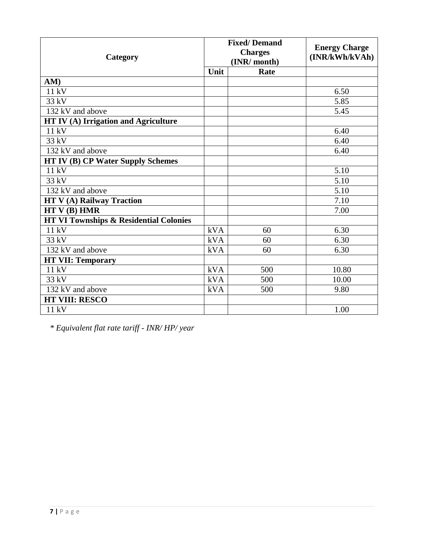| Category                                          |      | <b>Fixed/Demand</b><br><b>Charges</b><br>(INR/ month) | <b>Energy Charge</b><br>(INR/kWh/kVAh) |
|---------------------------------------------------|------|-------------------------------------------------------|----------------------------------------|
|                                                   | Unit | Rate                                                  |                                        |
| AM)                                               |      |                                                       |                                        |
| 11 kV                                             |      |                                                       | 6.50                                   |
| 33 kV                                             |      |                                                       | 5.85                                   |
| 132 kV and above                                  |      |                                                       | 5.45                                   |
| HT IV (A) Irrigation and Agriculture              |      |                                                       |                                        |
| 11 kV                                             |      |                                                       | 6.40                                   |
| 33 kV                                             |      |                                                       | 6.40                                   |
| 132 kV and above                                  |      |                                                       | 6.40                                   |
| <b>HT IV (B) CP Water Supply Schemes</b>          |      |                                                       |                                        |
| 11 kV                                             |      |                                                       | 5.10                                   |
| 33 kV                                             |      |                                                       | 5.10                                   |
| 132 kV and above                                  |      |                                                       | 5.10                                   |
| <b>HT V(A) Railway Traction</b>                   |      |                                                       | 7.10                                   |
| HTV(B) HMR                                        |      |                                                       | 7.00                                   |
| <b>HT VI Townships &amp; Residential Colonies</b> |      |                                                       |                                        |
| 11 kV                                             | kVA  | 60                                                    | 6.30                                   |
| 33 kV                                             | kVA  | 60                                                    | 6.30                                   |
| 132 kV and above                                  | kVA  | 60                                                    | 6.30                                   |
| <b>HT VII: Temporary</b>                          |      |                                                       |                                        |
| $11 k\overline{V}$                                | kVA  | 500                                                   | 10.80                                  |
| 33 kV                                             | kVA  | 500                                                   | 10.00                                  |
| 132 kV and above                                  | kVA  | 500                                                   | 9.80                                   |
| <b>HT VIII: RESCO</b>                             |      |                                                       |                                        |
| 11 kV                                             |      |                                                       | 1.00                                   |

*\* Equivalent flat rate tariff - INR/ HP/ year*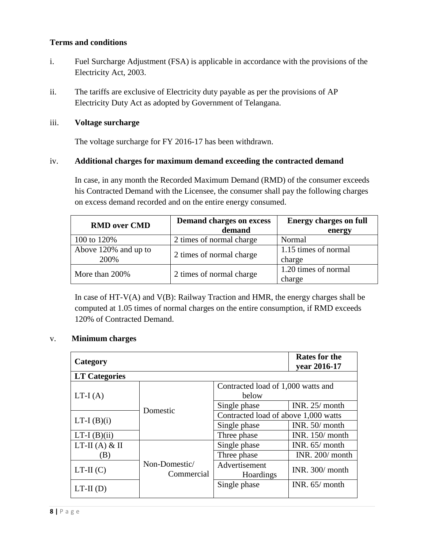### **Terms and conditions**

- i. Fuel Surcharge Adjustment (FSA) is applicable in accordance with the provisions of the Electricity Act, 2003.
- ii. The tariffs are exclusive of Electricity duty payable as per the provisions of AP Electricity Duty Act as adopted by Government of Telangana.

### iii. **Voltage surcharge**

The voltage surcharge for FY 2016-17 has been withdrawn.

### iv. **Additional charges for maximum demand exceeding the contracted demand**

In case, in any month the Recorded Maximum Demand (RMD) of the consumer exceeds his Contracted Demand with the Licensee, the consumer shall pay the following charges on excess demand recorded and on the entire energy consumed.

| <b>RMD</b> over CMD  | <b>Demand charges on excess</b> | <b>Energy charges on full</b> |  |
|----------------------|---------------------------------|-------------------------------|--|
|                      | demand                          | energy                        |  |
| 100 to 120\%         | 2 times of normal charge        | Normal                        |  |
| Above 120% and up to |                                 | 1.15 times of normal          |  |
| 200%                 | 2 times of normal charge        | charge                        |  |
| More than 200%       |                                 | 1.20 times of normal          |  |
|                      | 2 times of normal charge        | charge                        |  |

In case of  $HT-V(A)$  and  $V(B)$ : Railway Traction and HMR, the energy charges shall be computed at 1.05 times of normal charges on the entire consumption, if RMD exceeds 120% of Contracted Demand.

### v. **Minimum charges**

| Category                 |                                      |                                             | <b>Rates for the</b><br>year 2016-17 |
|--------------------------|--------------------------------------|---------------------------------------------|--------------------------------------|
| <b>LT Categories</b>     |                                      |                                             |                                      |
| $LT-I(A)$                |                                      | Contracted load of 1,000 watts and<br>below |                                      |
|                          | Single phase                         | INR. $25/$ month                            |                                      |
| Domestic<br>$LT-I(B)(i)$ | Contracted load of above 1,000 watts |                                             |                                      |
|                          | Single phase                         | INR. $50/$ month                            |                                      |
| $LT-I(B)(ii)$            |                                      | Three phase                                 | INR. 150/ month                      |
| $LT-II (A) & II$         |                                      | Single phase                                | INR. $65/$ month                     |
| (B)                      |                                      | Three phase                                 | INR. 200/ month                      |
| $LT-II(C)$               | Non-Domestic/<br>Commercial          | Advertisement<br>Hoardings                  | INR. 300/ month                      |
| $LT-II(D)$               |                                      | Single phase                                | INR. $65/$ month                     |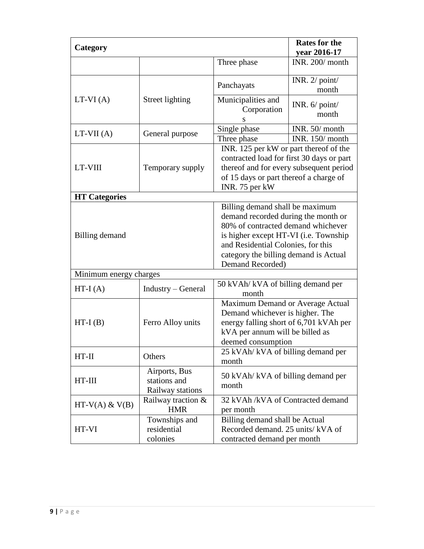| Category               |                                                   |                                                                                                                                                                                                                                                          | <b>Rates for the</b><br>year 2016-17 |
|------------------------|---------------------------------------------------|----------------------------------------------------------------------------------------------------------------------------------------------------------------------------------------------------------------------------------------------------------|--------------------------------------|
|                        |                                                   | Three phase                                                                                                                                                                                                                                              | INR. 200/ month                      |
|                        |                                                   | Panchayats                                                                                                                                                                                                                                               | INR. $2/$ point/<br>month            |
| $LT-VI(A)$             | Street lighting                                   | Municipalities and<br>Corporation<br>S                                                                                                                                                                                                                   | INR. $6/$ point/<br>month            |
| $LT-VII(A)$            | General purpose                                   | Single phase<br>Three phase                                                                                                                                                                                                                              | INR. 50/ month<br>INR. 150/ month    |
| LT-VIII                | Temporary supply                                  | INR. 125 per kW or part thereof of the<br>contracted load for first 30 days or part<br>thereof and for every subsequent period<br>of 15 days or part thereof a charge of<br>INR. 75 per kW                                                               |                                      |
| <b>HT</b> Categories   |                                                   |                                                                                                                                                                                                                                                          |                                      |
| Billing demand         |                                                   | Billing demand shall be maximum<br>demand recorded during the month or<br>80% of contracted demand whichever<br>is higher except HT-VI (i.e. Township<br>and Residential Colonies, for this<br>category the billing demand is Actual<br>Demand Recorded) |                                      |
| Minimum energy charges |                                                   |                                                                                                                                                                                                                                                          |                                      |
| $HT-I(A)$              | Industry – General                                | 50 kVAh/ kVA of billing demand per<br>month                                                                                                                                                                                                              |                                      |
| $HT-I(B)$              | Ferro Alloy units                                 | Maximum Demand or Average Actual<br>Demand whichever is higher. The<br>energy falling short of 6,701 kVAh per<br>kVA per annum will be billed as<br>deemed consumption                                                                                   |                                      |
| $HT-II$                | Others                                            | 25 kVAh/ kVA of billing demand per<br>month                                                                                                                                                                                                              |                                      |
| $HT-III$               | Airports, Bus<br>stations and<br>Railway stations | 50 kVAh/ kVA of billing demand per<br>month                                                                                                                                                                                                              |                                      |
| $HT-V(A)$ & $V(B)$     | Railway traction &<br><b>HMR</b>                  | 32 kVAh /kVA of Contracted demand<br>per month                                                                                                                                                                                                           |                                      |
| HT-VI                  | Townships and<br>residential<br>colonies          | Billing demand shall be Actual<br>Recorded demand. 25 units/kVA of<br>contracted demand per month                                                                                                                                                        |                                      |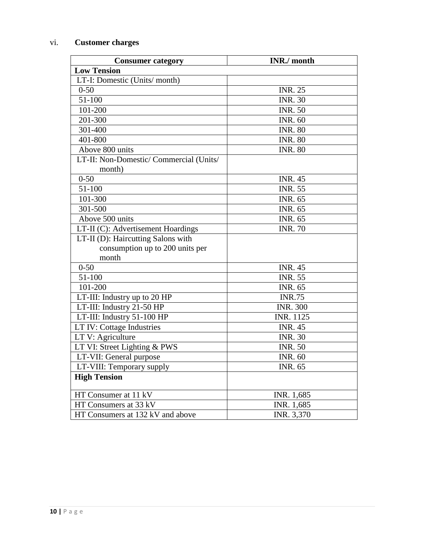# vi. **Customer charges**

| <b>Consumer category</b>                | <b>INR./</b> month |
|-----------------------------------------|--------------------|
| <b>Low Tension</b>                      |                    |
| LT-I: Domestic (Units/month)            |                    |
| $0 - 50$                                | <b>INR. 25</b>     |
| 51-100                                  | <b>INR. 30</b>     |
| 101-200                                 | <b>INR. 50</b>     |
| 201-300                                 | <b>INR. 60</b>     |
| 301-400                                 | <b>INR. 80</b>     |
| 401-800                                 | INR. $80$          |
| Above 800 units                         | <b>INR. 80</b>     |
| LT-II: Non-Domestic/ Commercial (Units/ |                    |
| month)                                  |                    |
| $0 - 50$                                | <b>INR. 45</b>     |
| 51-100                                  | <b>INR. 55</b>     |
| 101-300                                 | <b>INR. 65</b>     |
| 301-500                                 | <b>INR. 65</b>     |
| Above 500 units                         | <b>INR. 65</b>     |
| LT-II (C): Advertisement Hoardings      | <b>INR. 70</b>     |
| LT-II (D): Haircutting Salons with      |                    |
| consumption up to 200 units per         |                    |
| month                                   |                    |
| $0 - 50$                                | <b>INR. 45</b>     |
| 51-100                                  | <b>INR. 55</b>     |
| 101-200                                 | <b>INR. 65</b>     |
| LT-III: Industry up to 20 HP            | <b>INR.75</b>      |
| LT-III: Industry 21-50 HP               | <b>INR. 300</b>    |
| LT-III: Industry 51-100 HP              | <b>INR. 1125</b>   |
| LT IV: Cottage Industries               | <b>INR. 45</b>     |
| LT V: Agriculture                       | <b>INR. 30</b>     |
| LT VI: Street Lighting & PWS            | <b>INR. 50</b>     |
| LT-VII: General purpose                 | <b>INR. 60</b>     |
| LT-VIII: Temporary supply               | INR. 65            |
| <b>High Tension</b>                     |                    |
| HT Consumer at 11 kV                    | INR. 1,685         |
| HT Consumers at 33 kV                   | INR. 1,685         |
| HT Consumers at 132 kV and above        | INR. 3,370         |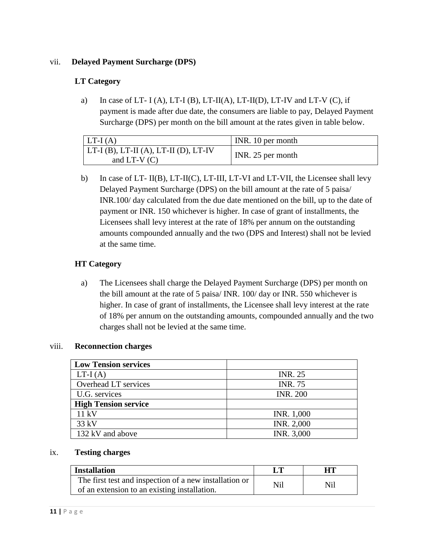### vii. **Delayed Payment Surcharge (DPS)**

### **LT Category**

a) In case of LT- I (A), LT-I (B), LT-II(A), LT-II(D), LT-IV and LT-V (C), if payment is made after due date, the consumers are liable to pay, Delayed Payment Surcharge (DPS) per month on the bill amount at the rates given in table below.

| $LT-I(A)$                                               | INR. 10 per month |
|---------------------------------------------------------|-------------------|
| $ LT-I(B), LT-II(A), LT-II(D), LT-IV$<br>and LT-V $(C)$ | INR. 25 per month |

b) In case of LT- II(B), LT-II(C), LT-III, LT-VI and LT-VII, the Licensee shall levy Delayed Payment Surcharge (DPS) on the bill amount at the rate of 5 paisa/ INR.100/ day calculated from the due date mentioned on the bill, up to the date of payment or INR. 150 whichever is higher. In case of grant of installments, the Licensees shall levy interest at the rate of 18% per annum on the outstanding amounts compounded annually and the two (DPS and Interest) shall not be levied at the same time.

### **HT Category**

a) The Licensees shall charge the Delayed Payment Surcharge (DPS) per month on the bill amount at the rate of 5 paisa/ INR. 100/ day or INR. 550 whichever is higher. In case of grant of installments, the Licensee shall levy interest at the rate of 18% per annum on the outstanding amounts, compounded annually and the two charges shall not be levied at the same time.

### viii. **Reconnection charges**

| <b>Low Tension services</b> |                 |
|-----------------------------|-----------------|
| $LT-I(A)$                   | <b>INR. 25</b>  |
| Overhead LT services        | <b>INR. 75</b>  |
| U.G. services               | <b>INR. 200</b> |
| <b>High Tension service</b> |                 |
| 11 kV                       | INR. 1,000      |
| $33 \text{ kV}$             | INR. 2,000      |
| 132 kV and above            | INR. 3,000      |

#### ix. **Testing charges**

| <b>Installation</b>                                                                                    |     | HТ  |
|--------------------------------------------------------------------------------------------------------|-----|-----|
| The first test and inspection of a new installation or<br>of an extension to an existing installation. | Nil | Nil |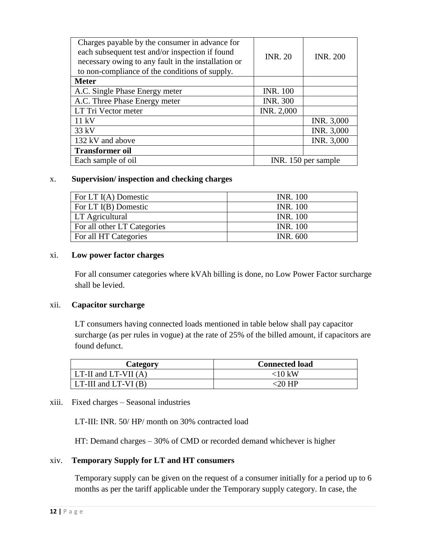| Charges payable by the consumer in advance for<br>each subsequent test and/or inspection if found<br>necessary owing to any fault in the installation or<br>to non-compliance of the conditions of supply. | <b>INR. 20</b>       | <b>INR. 200</b> |
|------------------------------------------------------------------------------------------------------------------------------------------------------------------------------------------------------------|----------------------|-----------------|
| <b>Meter</b>                                                                                                                                                                                               |                      |                 |
| A.C. Single Phase Energy meter                                                                                                                                                                             | <b>INR. 100</b>      |                 |
| A.C. Three Phase Energy meter                                                                                                                                                                              | <b>INR. 300</b>      |                 |
| LT Tri Vector meter                                                                                                                                                                                        | INR. 2,000           |                 |
| $11 \text{ kV}$                                                                                                                                                                                            |                      | INR. 3,000      |
| $33$ kV                                                                                                                                                                                                    |                      | INR. 3,000      |
| 132 kV and above                                                                                                                                                                                           |                      | INR. 3,000      |
| <b>Transformer oil</b>                                                                                                                                                                                     |                      |                 |
| Each sample of oil                                                                                                                                                                                         | INR. 150 per sample. |                 |

#### x. **Supervision/ inspection and checking charges**

| For LT $I(A)$ Domestic      | <b>INR.</b> 100 |
|-----------------------------|-----------------|
| For LT I(B) Domestic        | <b>INR.</b> 100 |
| <b>LT</b> Agricultural      | <b>INR. 100</b> |
| For all other LT Categories | <b>INR.</b> 100 |
| For all HT Categories       | <b>INR. 600</b> |

#### xi. **Low power factor charges**

For all consumer categories where kVAh billing is done, no Low Power Factor surcharge shall be levied.

### xii. **Capacitor surcharge**

LT consumers having connected loads mentioned in table below shall pay capacitor surcharge (as per rules in vogue) at the rate of 25% of the billed amount, if capacitors are found defunct.

| Category                     | <b>Connected load</b> |
|------------------------------|-----------------------|
| $LT-II$ and $LT-VII(A)$      | $<$ 10 kW             |
| $LT$ -III and $LT$ -VI $(B)$ | $\epsilon$ 20 HP.     |

### xiii. Fixed charges – Seasonal industries

LT-III: INR. 50/ HP/ month on 30% contracted load

HT: Demand charges – 30% of CMD or recorded demand whichever is higher

### xiv. **Temporary Supply for LT and HT consumers**

Temporary supply can be given on the request of a consumer initially for a period up to 6 months as per the tariff applicable under the Temporary supply category. In case, the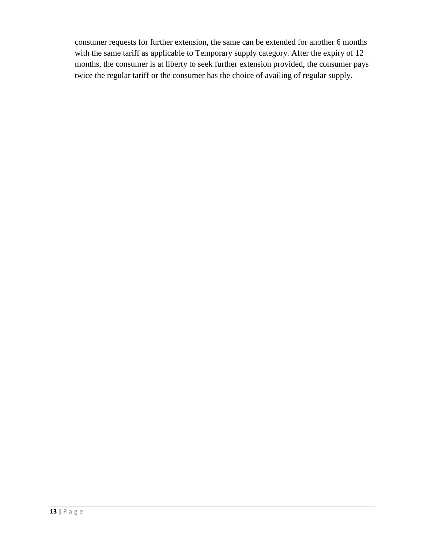consumer requests for further extension, the same can be extended for another 6 months with the same tariff as applicable to Temporary supply category. After the expiry of 12 months, the consumer is at liberty to seek further extension provided, the consumer pays twice the regular tariff or the consumer has the choice of availing of regular supply.